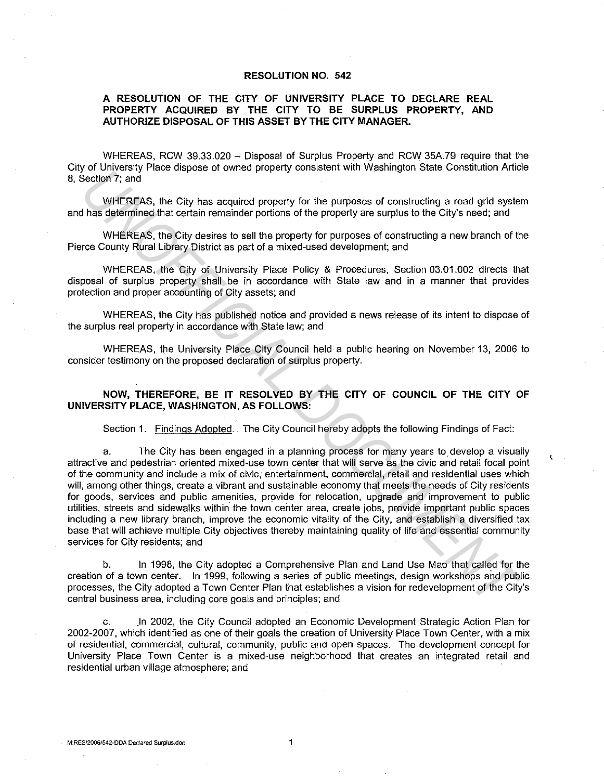## **RESOLUTION NO. 542**

## **A RESOLUTION OF THE CITY OF UNIVERSITY PLACE TO DECLARE REAL PROPERTY ACQUIRED BY THE CITY TO BE SURPLUS PROPERTY, AND AUTHORIZE DISPOSAL OF THIS ASSET BY THE CITY MANAGER.**

WHEREAS, RCW 39.33.020 - Disposal of Surplus Property and RCW 35A.79 require that the City of University Place dispose of owned property consistent with Washington State Constitution Article 8, Section 7; and

WHEREAS, the City has acquired property for the purposes of constructing a road grid system and has determined that certain remainder portions of the property are surplus to the City's need; and

WHEREAS, the City desires to sell the property for purposes of constructing a new branch of the Pierce County Rural Library District as part of a mixed-used development; and

WHEREAS, the City of University Place Policy & Procedures, Section 03.01.002 directs that disposal of surplus property shall be in accordance with State law and in a manner that provides protection and proper accounting of City assets; and

WHEREAS, the City has published notice and provided a news release of its intent to dispose of the surplus real property in accordance with State law; and

WHEREAS, the University Place City Council held a public hearing on November 13, 2006 to consider testimony on the proposed declaration of surplus property.

## **NOW, THEREFORE, BE IT RESOLVED BY THE CITY OF COUNCIL OF THE CITY OF UNIVERSITY PLACE, WASHINGTON, AS FOLLOWS:**

Section 1. Findings Adopted. The City Council hereby adopts the following Findings of Fact:

a. The City has been engaged in a planning process for many years to. develop a visually attractive and pedestrian oriented mixed-use town center that will serve as the civic and retail focal point of the community and include a mix of civic, entertainment, commercial, retail and residential uses which will, among other things, create a vibrant and sustainable economy that meets the needs of City residents for goods, services and public amenities, provide for relocation, upgrade and improvement to public utilities, streets and sidewalks within the town center area, create jobs, provide important public spaces including a new library branch, improve the economic vitality of the City, and establish a diversified tax base that will achieve multiple City objectives thereby maintaining quality of life and essential community services for City residents; and on during of the University consistent man viraling on case consistent of the CNN and Security and the Security and the property and securities and WHEREAS, the City desires to sell the property for the purpose of constru

b. In 1998, the City adopted a Comprehensive Plan and Land Use Map that called for the creation of a town center. In 1999, following a series of public meetings, design workshops and public processes, the City adopted a Town Center Plan that establishes a vision for redevelopment of the City's central business area, including core goals and principles; and

In 2002, the City Council adopted an Economic Development Strategic Action Plan for 2002-2007, which identified as one of their goals the creation of University Place Town Center, with a mix of residential, commercial, cultural, community, public and open spaces. The development concept for University Place Town Center is a mixed-use neighborhood that creates an integrated retail and residential urban village atmosphere; and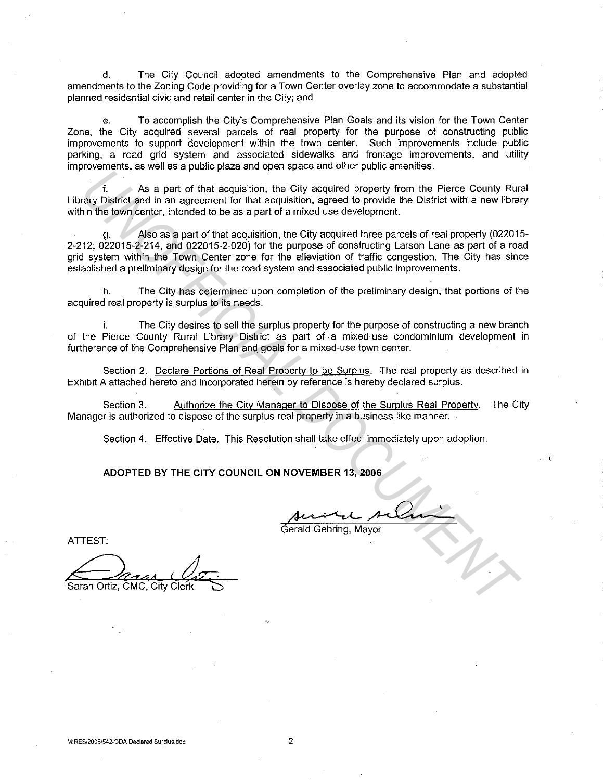d. The City Council adopted amendments to the Comprehensive Plan and adopted amendments to the Zoning Code providing for a Town Center overlay zone to accommodate a substantial planned residential civic and retail center in the City; and

e. To accomplish the City's Comprehensive Plan Goals and its vision for the Town Center Zone, the City acquired several parcels of real property for the purpose of constructing public improvements to support development within the town center. Such improvements include public parking, a road grid system and associated sidewalks and frontage improvements, and utility improvements, as well as a public plaza and open space and other public amenities.

f. As a part of that acquisition, the City acquired property from the Pierce County Rural Library District and in an agreement for that acquisition, agreed to provide the District with a new library within the town center, intended to be as a part of a mixed use development.

g. Also as a part of that acquisition, the City acquired three parcels of real property (022015- 2-212; 022015-2-214, and 022015-2-020) for the purpose of constructing Larson Lane as part of a road grid system within the Town Center zone for the alleviation of traffic congestion. The City has since established a preliminary design for the road system and associated public improvements. *United that acquisition, the City sequired property from the Pierce County Run<br>
In As a part of that acquisition, the City sequired property from the Pierce County Run<br>
Inch the town center, included to be as a part of th* 

h. The City has determined upon completion of the preliminary design, that portions of the acquired real property is surplus to its needs.

The City desires to sell the surplus property for the purpose of constructing a new branch of the Pierce County Rural Library District as part of a mixed-use condominium development in furtherance of the Comprehensive Plan and goals for a mixed-use town center.

Section 2. Declare Portions of Real Property to be Surplus. The real property as described in Exhibit A attached hereto and incorporated herein by reference is hereby declared surplus.

Section 3. Authorize the City Manager to Dispose of the Surplus Real Property. The City Manager is authorized to dispose of the surplus real property in a business-like manner.

Section 4. Effective Date. This Resolution shall take effect immediately upon adoption.

**ADOPTED BY THE CITY COUNCIL ON NOVEMBER 13, 2006** 

Gerald Gehring, Mayor

Sarah Ortiz, CMG, City Clerk

ATTEST: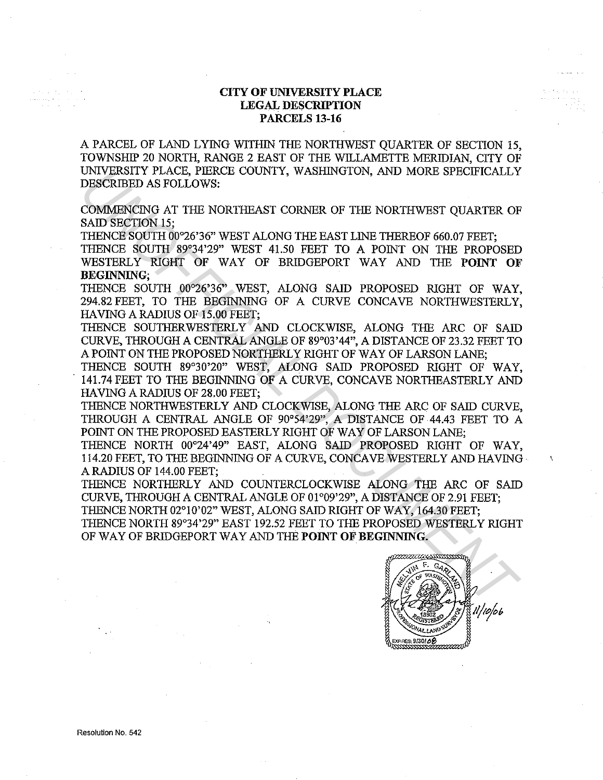## **CITY OF UNIVERSITY PLACE LEGAL DESCRIPTION PARCELS 13-16**

A PARCEL OF LAND LYING WITHIN THE NORTHWEST QUARTER OF SECTION 15, TOWNSHIP 20 NORTH, RANGE 2 EAST OF THE WILLAMETTE MERIDIAN, CITY OF UNIVERSITY PLACE, PIERCE COUNTY, WASHINGTON, AND MORE SPECIFICALLY DESCRIBED AS FOLLOWS:

COMMENCING AT THE NORTHEAST CORNER OF THE NORTHWEST QUARTER OF SAID SECTION 15:

THENCE SOUTH 00°26'36" WEST ALONG THE EAST LINE THEREOF 660.07 FEET;

THENCE SOUTH 89°34'29" WEST 41.50 FEET TO A POINT ON THE PROPOSED WESTERLY RIGHT OF WAY OF BRIDGEPORT WAY AND THE **POINT OF BEGINNING;** 

THENCE SOUTH 00°26'36" WEST, ALONG SAID PROPOSED RIGHT OF WAY, 294.82 FEET, TO THE BEGINNING OF A CURVE CONCAVE NORTHWESTERLY, HAVING A RADIUS OF 15.00 FEET;

THENCE SOUTHERWESTERLY AND CLOCKWISE, ALONG THE ARC OF SAID CURVE, THROUGH A CENTRAL ANGLE OF 89°03'44", A DISTANCE OF 23.32 FEET TO A POINT ON THE PROPOSED NORTHERLY RIGHT OF WAY OF LARSON LANE;

THENCE SOUTH 89°30'20" WEST, ALONG SAID PROPOSED RIGHT OF WAY, . 141.74FEET TO THE BEGINNING OF A CURVE, CONCAVE NORTHEASTERLY AND HAVING A RADIUS OF 28.00 FEET; UNIVERSITY PLACE, FIERCO CONTRAINSTORIES THE NORTHWEST CONTRACT CONTRACT CONTRACT CONTRACT CONTRACT CONTRACT CONTRACT CONTRACT CONTRACT CONTRACT THE NORTHWIST CONTRACT THE NORTHWIST CONTRACT THE NORTHWIST CONTRACT THE NORT

THENCE NORTHWESTERLY AND CLOCKWISE, ALONGTHE ARC OF SAID CURVE, THROUGH A CENTRAL ANGLE OF 90°54'29'', A DISTANCE OF 44.43 FEET TO A POINT ON THE PROPOSED EASTERLY RIGHT OF WAY OF LARSON LANE;

THENCE NORTH 00°24'49" EAST, ALONG SAID PROPOSED RIGHT OF WAY, 114.20 FEET, TO THE BEGINNING OF A CURVE, CONCAVE WESTERLY AND HAVING A RADIUS OF 144.00 FEET;

THENCE NORTHERLY AND COUNTERCLOCKWISE ALONG THE ARC OF SAID CURVE, THROUGH A CENTRAL ANGLE OF 01°09'29", A DISTANCE OF 2.91 FEET;

THENCE NORTH 02°10'02" WEST, ALONG SAID RIGHT OF WAY, 164.30 FEET; THENCE NORTH 89°34'29" EAST 192.52 FEET TO THE PROPOSED WESTERLY RIGHT OF WAY OF BRIDGEPORT WAY AND THE **POINT OF BEGINNING.**